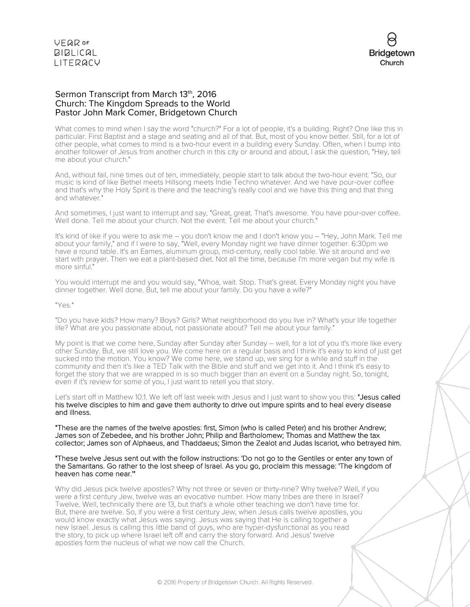

## Sermon Transcript from March 13th, 2016 Church: The Kingdom Spreads to the World Pastor John Mark Comer, Bridgetown Church

What comes to mind when I say the word "church?" For a lot of people, it's a building. Right? One like this in particular. First Baptist and a stage and seating and all of that. But, most of you know better. Still, for a lot of other people, what comes to mind is a two-hour event in a building every Sunday. Often, when I bump into another follower of Jesus from another church in this city or around and about, I ask the question, "Hey, tell me about your church."

And, without fail, nine times out of ten, immediately, people start to talk about the two-hour event. "So, our music is kind of like Bethel meets Hillsong meets Indie Techno whatever. And we have pour-over coffee and that's why the Holy Spirit is there and the teaching's really cool and we have this thing and that thing and whatever."

And sometimes, I just want to interrupt and say, "Great, great. That's awesome. You have pour-over coffee. Well done. Tell me about your church. Not the event. Tell me about your church."

It's kind of like if you were to ask me – you don't know me and I don't know you – "Hey, John Mark. Tell me about your family," and if I were to say, "Well, every Monday night we have dinner together. 6:30pm we have a round table. It's an Eames, aluminum group, mid-century, really cool table. We sit around and we start with prayer. Then we eat a plant-based diet. Not all the time, because I'm more vegan but my wife is more sinful."

You would interrupt me and you would say, "Whoa, wait. Stop. That's great. Every Monday night you have dinner together. Well done. But, tell me about your family. Do you have a wife?"

#### "Yes."

"Do you have kids? How many? Boys? Girls? What neighborhood do you live in? What's your life together life? What are you passionate about, not passionate about? Tell me about your family."

My point is that we come here, Sunday after Sunday after Sunday – well, for a lot of you it's more like every other Sunday. But, we still love you. We come here on a regular basis and I think it's easy to kind of just get sucked into the motion. You know? We come here, we stand up, we sing for a while and stuff in the community and then it's like a TED Talk with the Bible and stuff and we get into it. And I think it's easy to forget the story that we are wrapped in is so much bigger than an event on a Sunday night. So, tonight, even if it's review for some of you, I just want to retell you that story.

Let's start off in Matthew 10:1. We left off last week with Jesus and I just want to show you this: "Jesus called his twelve disciples to him and gave them authority to drive out impure spirits and to heal every disease and illness.

"These are the names of the twelve apostles: first, Simon (who is called Peter) and his brother Andrew; James son of Zebedee, and his brother John; Philip and Bartholomew; Thomas and Matthew the tax collector; James son of Alphaeus, and Thaddaeus; Simon the Zealot and Judas Iscariot, who betrayed him.

## "These twelve Jesus sent out with the follow instructions: 'Do not go to the Gentiles or enter any town of the Samaritans. Go rather to the lost sheep of Israel. As you go, proclaim this message: 'The kingdom of heaven has come near.'"

Why did Jesus pick twelve apostles? Why not three or seven or thirty-nine? Why twelve? Well, if you were a first century Jew, twelve was an evocative number. How many tribes are there in Israel? Twelve. Well, technically there are 13, but that's a whole other teaching we don't have time for. But, there are twelve. So, if you were a first century Jew, when Jesus calls twelve apostles, you would know exactly what Jesus was saying. Jesus was saying that He is calling together a new Israel. Jesus is calling this little band of guys, who are hyper-dysfunctional as you read the story, to pick up where Israel left off and carry the story forward. And Jesus' twelve apostles form the nucleus of what we now call the Church.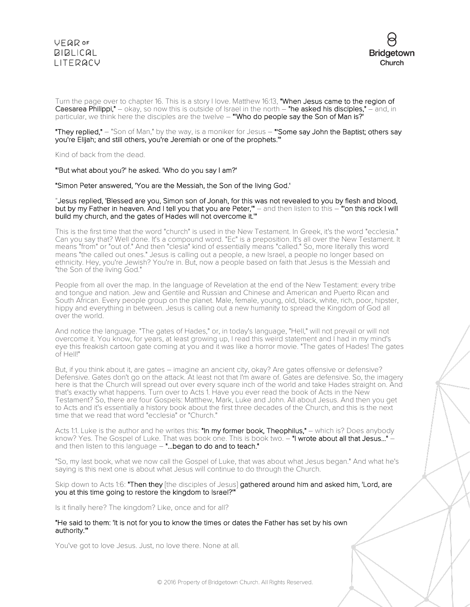Turn the page over to chapter 16. This is a story I love. Matthew 16:13, "When Jesus came to the region of Caesarea Philippi," – okay, so now this is outside of Israel in the north – "he asked his disciples," – and, in particular, we think here the disciples are the twelve – "'Who do people say the Son of Man is?'

#### "They replied," – "Son of Man," by the way, is a moniker for Jesus – "'Some say John the Baptist; others say you're Elijah; and still others, you're Jeremiah or one of the prophets.'"

Kind of back from the dead.

## "'But what about you?' he asked. 'Who do you say I am?'

### "Simon Peter answered, 'You are the Messiah, the Son of the living God.'

### "Jesus replied, 'Blessed are you, Simon son of Jonah, for this was not revealed to you by flesh and blood, but by my Father in heaven. And I tell you that you are Peter," – and then listen to this – "on this rock I will build my church, and the gates of Hades will not overcome it."

This is the first time that the word "church" is used in the New Testament. In Greek, it's the word "ecclesia." Can you say that? Well done. It's a compound word. "Ec" is a preposition. It's all over the New Testament. It means "from" or "out of." And then "clesia" kind of essentially means "called." So, more literally this word means "the called out ones." Jesus is calling out a people, a new Israel, a people no longer based on ethnicity. Hey, you're Jewish? You're in. But, now a people based on faith that Jesus is the Messiah and "the Son of the living God."

People from all over the map. In the language of Revelation at the end of the New Testament: every tribe and tongue and nation. Jew and Gentile and Russian and Chinese and American and Puerto Rican and South African. Every people group on the planet. Male, female, young, old, black, white, rich, poor, hipster, hippy and everything in between. Jesus is calling out a new humanity to spread the Kingdom of God all over the world.

And notice the language. "The gates of Hades," or, in today's language, "Hell," will not prevail or will not overcome it. You know, for years, at least growing up, I read this weird statement and I had in my mind's eye this freakish cartoon gate coming at you and it was like a horror movie. "The gates of Hades! The gates of Hell!"

But, if you think about it, are gates – imagine an ancient city, okay? Are gates offensive or defensive? Defensive. Gates don't go on the attack. At least not that I'm aware of. Gates are defensive. So, the imagery here is that the Church will spread out over every square inch of the world and take Hades straight on. And that's exactly what happens. Turn over to Acts 1. Have you ever read the book of Acts in the New Testament? So, there are four Gospels: Matthew, Mark, Luke and John. All about Jesus. And then you get to Acts and it's essentially a history book about the first three decades of the Church, and this is the next time that we read that word "ecclesia" or "Church."

Acts 1:1. Luke is the author and he writes this: "In my former book, Theophilus," – which is? Does anybody know? Yes. The Gospel of Luke. That was book one. This is book two. - "I wrote about all that Jesus..." and then listen to this language  $-$  "...began to do and to teach."

"So, my last book, what we now call the Gospel of Luke, that was about what Jesus began." And what he's saying is this next one is about what Jesus will continue to do through the Church.

Skip down to Acts 1:6: "Then they [the disciples of Jesus] gathered around him and asked him, 'Lord, are you at this time going to restore the kingdom to Israel?'"

Is it finally here? The kingdom? Like, once and for all?

### "He said to them: 'It is not for you to know the times or dates the Father has set by his own authority.'"

You've got to love Jesus. Just, no love there. None at all.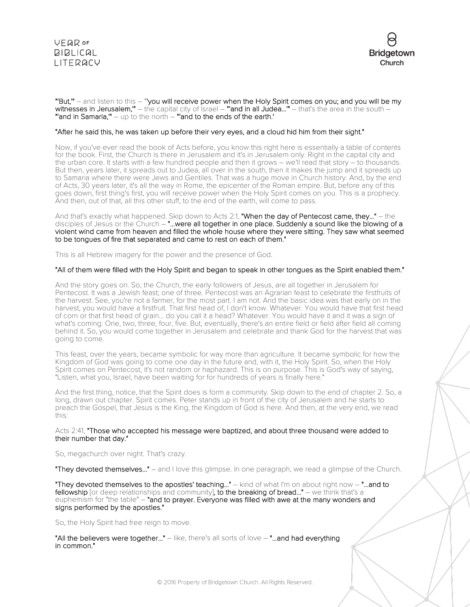



"'But,'" – and listen to this – "'you will receive power when the Holy Spirit comes on you; and you will be my **witnesses in Jerusalem,"** – the capital city of Israel – **"'and in all Judea...""** – that's the area in the south – "'and in Samaria,'" – up to the north – "'and to the ends of the earth.'

## "After he said this, he was taken up before their very eyes, and a cloud hid him from their sight."

Now, if you've ever read the book of Acts before, you know this right here is essentially a table of contents for the book. First, the Church is there in Jerusalem and it's in Jerusalem only. Right in the capital city and the urban core. It starts with a few hundred people and then it grows – we'll read that story – to thousands. But then, years later, it spreads out to Judea, all over in the south, then it makes the jump and it spreads up to Samaria where there were Jews and Gentiles. That was a huge move in Church history. And, by the end of Acts, 30 years later, it's all the way in Rome, the epicenter of the Roman empire. But, before any of this goes down, first thing's first, you will receive power when the Holy Spirit comes on you. This is a prophecy. And then, out of that, all this other stuff, to the end of the earth, will come to pass.

And that's exactly what happened. Skip down to Acts 2:1, "When the day of Pentecost came, they..." - the disciples of Jesus or the Church – "...were all together in one place. Suddenly a sound like the blowing of a violent wind came from heaven and filled the whole house where they were sitting. They saw what seemed to be tongues of fire that separated and came to rest on each of them."

This is all Hebrew imagery for the power and the presence of God.

## "All of them were filled with the Holy Spirit and began to speak in other tongues as the Spirit enabled them."

And the story goes on. So, the Church, the early followers of Jesus, are all together in Jerusalem for Pentecost. It was a Jewish feast; one of three. Pentecost was an Agrarian feast to celebrate the firstfruits of the harvest. See, you're not a farmer, for the most part. I am not. And the basic idea was that early on in the harvest, you would have a firstfruit. That first head of, I don't know. Whatever. You would have that first head of corn or that first head of grain... do you call it a head? Whatever. You would have it and it was a sign of what's coming. One, two, three, four, five. But, eventually, there's an entire field or field after field all coming behind it. So, you would come together in Jerusalem and celebrate and thank God for the harvest that was going to come.

This feast, over the years, became symbolic for way more than agriculture. It became symbolic for how the Kingdom of God was going to come one day in the future and, with it, the Holy Spirit. So, when the Holy Spirit comes on Pentecost, it's not random or haphazard. This is on purpose. This is God's way of saying, "Listen, what you, Israel, have been waiting for for hundreds of years is finally here."

And the first thing, notice, that the Spirit does is form a community. Skip down to the end of chapter 2. So, a long, drawn out chapter. Spirit comes. Peter stands up in front of the city of Jerusalem and he starts to preach the Gospel, that Jesus is the King, the Kingdom of God is here. And then, at the very end, we read this:

#### Acts 2:41, "Those who accepted his message were baptized, and about three thousand were added to their number that day."

So, megachurch over night. That's crazy.

"They devoted themselves..." – and I love this glimpse. In one paragraph, we read a glimpse of the Church.

"They devoted themselves to the apostles' teaching..." – kind of what I'm on about right now – "...and to fellowship [or deep relationships and community], to the breaking of bread..." - we think that's a euphemism for "the table" – "and to prayer. Everyone was filled with awe at the many wonders and signs performed by the apostles."

So, the Holy Spirit had free reign to move.

"All the believers were together..." – like, there's all sorts of love – "...and had everything in common."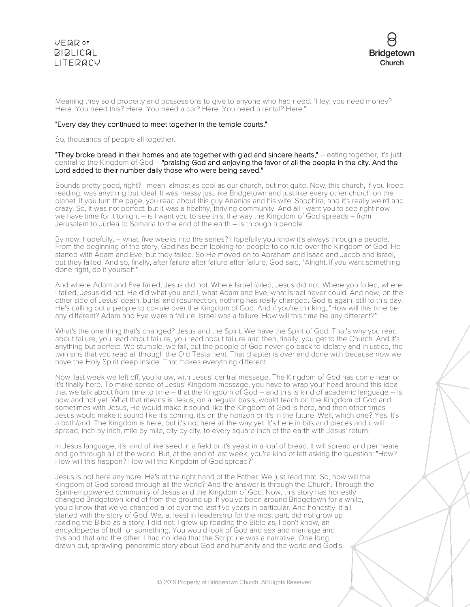

Meaning they sold property and possessions to give to anyone who had need. "Hey, you need money? Here. You need this? Here. You need a car? Here. You need a rental? Here."

## "Every day they continued to meet together in the temple courts."

So, thousands of people all together.

"They broke bread in their homes and ate together with glad and sincere hearts," – eating together, it's just central to the Kingdom of God – "praising God and enjoying the favor of all the people in the city. And the Lord added to their number daily those who were being saved."

Sounds pretty good, right? I mean, almost as cool as our church, but not quite. Now, this church, if you keep reading, was anything but ideal. It was messy just like Bridgetown and just like every other church on the planet. If you turn the page, you read about this guy Ananias and his wife, Sapphira, and it's really weird and crazy. So, it was not perfect, but it was a healthy, thriving community. And all I want you to see right now – we have time for it tonight – is I want you to see this: the way the Kingdom of God spreads – from Jerusalem to Judea to Samaria to the end of the earth – is through a people.

By now, hopefully, – what, five weeks into the series? Hopefully you know it's always through a people. From the beginning of the story, God has been looking for people to co-rule over the Kingdom of God. He started with Adam and Eve, but they failed. So He moved on to Abraham and Isaac and Jacob and Israel, but they failed. And so, finally, after failure after failure after failure, God said, "Alright. If you want something done right, do it yourself."

And where Adam and Eve failed, Jesus did not. Where Israel failed, Jesus did not. Where you failed, where I failed, Jesus did not. He did what you and I, what Adam and Eve, what Israel never could. And now, on the other side of Jesus' death, burial and resurrection, nothing has really changed. God is again, still to this day, He's calling out a people to co-rule over the Kingdom of God. And if you're thinking, "How will this time be any different? Adam and Eve were a failure. Israel was a failure. How will this time be any different?"

What's the one thing that's changed? Jesus and the Spirit. We have the Spirit of God. That's why you read about failure, you read about failure, you read about failure and then, finally, you get to the Church. And it's anything but perfect. We stumble, we fall, but the people of God never go back to idolatry and injustice, the twin sins that you read all through the Old Testament. That chapter is over and done with because now we have the Holy Spirit deep inside. That makes everything different.

Now, last week we left off, you know, with Jesus' central message. The Kingdom of God has come near or it's finally here. To make sense of Jesus' Kingdom message, you have to wrap your head around this idea – that we talk about from time to time – that the Kingdom of God – and this is kind of academic language – is now and not yet. What that means is Jesus, on a regular basis, would teach on the Kingdom of God and sometimes with Jesus, He would make it sound like the Kingdom of God is here, and then other times Jesus would make it sound like it's coming, it's on the horizon or it's in the future. Well, which one? Yes. It's a both/and. The Kingdom is here, but it's not here all the way yet. It's here in bits and pieces and it will spread, inch by inch, mile by mile, city by city, to every square inch of the earth with Jesus' return.

In Jesus language, it's kind of like seed in a field or it's yeast in a loaf of bread. It will spread and permeate and go through all of the world. But, at the end of last week, you're kind of left asking the question: "How? How will this happen? How will the Kingdom of God spread?"

Jesus is not here anymore. He's at the right hand of the Father. We just read that. So, how will the Kingdom of God spread through all the world? And the answer is through the Church. Through the Spirit-empowered community of Jesus and the Kingdom of God. Now, this story has honestly changed Bridgetown kind of from the ground up. If you've been around Bridgetown for a while, you'd know that we've changed a lot over the last five years in particular. And honestly, it all started with the story of God. We, at least in leadership for the most part, did not grow up reading the Bible as a story. I did not. I grew up reading the Bible as, I don't know, an encyclopedia of truth or something. You would look of God and sex and marriage and this and that and the other. I had no idea that the Scripture was a narrative. One long, drawn out, sprawling, panoramic story about God and humanity and the world and God's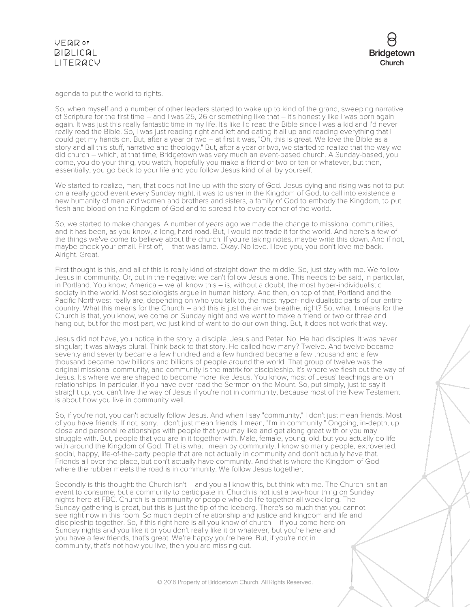



agenda to put the world to rights.

So, when myself and a number of other leaders started to wake up to kind of the grand, sweeping narrative of Scripture for the first time – and I was 25, 26 or something like that – it's honestly like I was born again again. It was just this really fantastic time in my life. It's like I'd read the Bible since I was a kid and I'd never really read the Bible. So, I was just reading right and left and eating it all up and reading everything that I could get my hands on. But, after a year or two – at first it was, "Oh, this is great. We love the Bible as a story and all this stuff, narrative and theology." But, after a year or two, we started to realize that the way we did church – which, at that time, Bridgetown was very much an event-based church. A Sunday-based, you come, you do your thing, you watch, hopefully you make a friend or two or ten or whatever, but then, essentially, you go back to your life and you follow Jesus kind of all by yourself.

We started to realize, man, that does not line up with the story of God. Jesus dying and rising was not to put on a really good event every Sunday night, it was to usher in the Kingdom of God, to call into existence a new humanity of men and women and brothers and sisters, a family of God to embody the Kingdom, to put flesh and blood on the Kingdom of God and to spread it to every corner of the world.

So, we started to make changes. A number of years ago we made the change to missional communities, and it has been, as you know, a long, hard road. But, I would not trade it for the world. And here's a few of the things we've come to believe about the church. If you're taking notes, maybe write this down. And if not, maybe check your email. First off, – that was lame. Okay. No love. I love you, you don't love me back. Alright. Great.

First thought is this, and all of this is really kind of straight down the middle. So, just stay with me. We follow Jesus in community. Or, put in the negative: we can't follow Jesus alone. This needs to be said, in particular, in Portland. You know, America – we all know this – is, without a doubt, the most hyper-individualistic society in the world. Most sociologists argue in human history. And then, on top of that, Portland and the Pacific Northwest really are, depending on who you talk to, the most hyper-individualistic parts of our entire country. What this means for the Church – and this is just the air we breathe, right? So, what it means for the Church is that, you know, we come on Sunday night and we want to make a friend or two or three and hang out, but for the most part, we just kind of want to do our own thing. But, it does not work that way.

Jesus did not have, you notice in the story, a disciple. Jesus and Peter. No. He had disciples. It was never singular; it was always plural. Think back to that story. He called how many? Twelve. And twelve became seventy and seventy became a few hundred and a few hundred became a few thousand and a few thousand became now billions and billions of people around the world. That group of twelve was the original missional community, and community is the matrix for discipleship. It's where we flesh out the way of Jesus. It's where we are shaped to become more like Jesus. You know, most of Jesus' teachings are on relationships. In particular, if you have ever read the Sermon on the Mount. So, put simply, just to say it straight up, you can't live the way of Jesus if you're not in community, because most of the New Testament is about how you live in community well.

So, if you're not, you can't actually follow Jesus. And when I say "community," I don't just mean friends. Most of you have friends. If not, sorry. I don't just mean friends. I mean, "I'm in community." Ongoing, in-depth, up close and personal relationships with people that you may like and get along great with or you may struggle with. But, people that you are in it together with. Male, female, young, old, but you actually do life with around the Kingdom of God. That is what I mean by community. I know so many people, extroverted, social, happy, life-of-the-party people that are not actually in community and don't actually have that. Friends all over the place, but don't actually have community. And that is where the Kingdom of God – where the rubber meets the road is in community. We follow Jesus together.

Secondly is this thought: the Church isn't – and you all know this, but think with me. The Church isn't an event to consume, but a community to participate in. Church is not just a two-hour thing on Sunday nights here at FBC. Church is a community of people who do life together all week long. The Sunday gathering is great, but this is just the tip of the iceberg. There's so much that you cannot see right now in this room. So much depth of relationship and justice and kingdom and life and discipleship together. So, if this right here is all you know of church – if you come here on Sunday nights and you like it or you don't really like it or whatever, but you're here and you have a few friends, that's great. We're happy you're here. But, if you're not in community, that's not how you live, then you are missing out.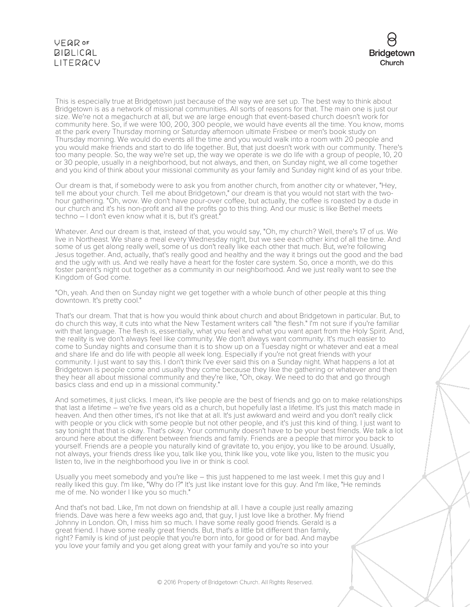

This is especially true at Bridgetown just because of the way we are set up. The best way to think about Bridgetown is as a network of missional communities. All sorts of reasons for that. The main one is just our size. We're not a megachurch at all, but we are large enough that event-based church doesn't work for community here. So, if we were 100, 200, 300 people, we would have events all the time. You know, moms at the park every Thursday morning or Saturday afternoon ultimate Frisbee or men's book study on Thursday morning. We would do events all the time and you would walk into a room with 20 people and you would make friends and start to do life together. But, that just doesn't work with our community. There's too many people. So, the way we're set up, the way we operate is we do life with a group of people, 10, 20 or 30 people, usually in a neighborhood, but not always, and then, on Sunday night, we all come together and you kind of think about your missional community as your family and Sunday night kind of as your tribe.

Our dream is that, if somebody were to ask you from another church, from another city or whatever, "Hey, tell me about your church. Tell me about Bridgetown," our dream is that you would not start with the twohour gathering. "Oh, wow. We don't have pour-over coffee, but actually, the coffee is roasted by a dude in our church and it's his non-profit and all the profits go to this thing. And our music is like Bethel meets techno – I don't even know what it is, but it's great."

Whatever. And our dream is that, instead of that, you would say, "Oh, my church? Well, there's 17 of us. We live in Northeast. We share a meal every Wednesday night, but we see each other kind of all the time. And some of us get along really well, some of us don't really like each other that much. But, we're following Jesus together. And, actually, that's really good and healthy and the way it brings out the good and the bad and the ugly with us. And we really have a heart for the foster care system. So, once a month, we do this foster parent's night out together as a community in our neighborhood. And we just really want to see the Kingdom of God come.

"Oh, yeah. And then on Sunday night we get together with a whole bunch of other people at this thing downtown. It's pretty cool."

That's our dream. That that is how you would think about church and about Bridgetown in particular. But, to do church this way, it cuts into what the New Testament writers call "the flesh." I'm not sure if you're familiar with that language. The flesh is, essentially, what you feel and what you want apart from the Holy Spirit. And, the reality is we don't always feel like community. We don't always want community. It's much easier to come to Sunday nights and consume than it is to show up on a Tuesday night or whatever and eat a meal and share life and do life with people all week long. Especially if you're not great friends with your community. I just want to say this. I don't think I've ever said this on a Sunday night. What happens a lot at Bridgetown is people come and usually they come because they like the gathering or whatever and then they hear all about missional community and they're like, "Oh, okay. We need to do that and go through basics class and end up in a missional community."

And sometimes, it just clicks. I mean, it's like people are the best of friends and go on to make relationships that last a lifetime – we're five years old as a church, but hopefully last a lifetime. It's just this match made in heaven. And then other times, it's not like that at all. It's just awkward and weird and you don't really click with people or you click with some people but not other people, and it's just this kind of thing. I just want to say tonight that that is okay. That's okay. Your community doesn't have to be your best friends. We talk a lot around here about the different between friends and family. Friends are a people that mirror you back to yourself. Friends are a people you naturally kind of gravitate to, you enjoy, you like to be around. Usually, not always, your friends dress like you, talk like you, think like you, vote like you, listen to the music you listen to, live in the neighborhood you live in or think is cool.

Usually you meet somebody and you're like – this just happened to me last week. I met this guy and I really liked this guy. I'm like, "Why do l?" It's just like instant love for this guy. And I'm like, "He reminds me of me. No wonder I like you so much."

And that's not bad. Like, I'm not down on friendship at all. I have a couple just really amazing friends. Dave was here a few weeks ago and, that guy, I just love like a brother. My friend Johnny in London. Oh, I miss him so much. I have some really good friends. Gerald is a great friend. I have some really great friends. But, that's a little bit different than family, right? Family is kind of just people that you're born into, for good or for bad. And maybe you love your family and you get along great with your family and you're so into your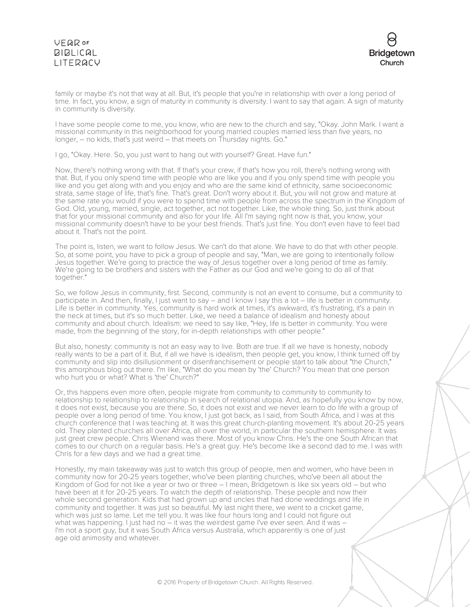

family or maybe it's not that way at all. But, it's people that you're in relationship with over a long period of time. In fact, you know, a sign of maturity in community is diversity. I want to say that again. A sign of maturity in community is diversity.

I have some people come to me, you know, who are new to the church and say, "Okay. John Mark. I want a missional community in this neighborhood for young married couples married less than five years, no longer, – no kids, that's just weird – that meets on Thursday nights. Go."

I go, "Okay. Here. So, you just want to hang out with yourself? Great. Have fun."

Now, there's nothing wrong with that. If that's your crew, if that's how you roll, there's nothing wrong with that. But, if you only spend time with people who are like you and if you only spend time with people you like and you get along with and you enjoy and who are the same kind of ethnicity, same socioeconomic strata, same stage of life, that's fine. That's great. Don't worry about it. But, you will not grow and mature at the same rate you would if you were to spend time with people from across the spectrum in the Kingdom of God. Old, young, married, single, act together, act not together. Like, the whole thing. So, just think about that for your missional community and also for your life. All I'm saying right now is that, you know, your missional community doesn't have to be your best friends. That's just fine. You don't even have to feel bad about it. That's not the point.

The point is, listen, we want to follow Jesus. We can't do that alone. We have to do that with other people. So, at some point, you have to pick a group of people and say, "Man, we are going to intentionally follow Jesus together. We're going to practice the way of Jesus together over a long period of time as family. We're going to be brothers and sisters with the Father as our God and we're going to do all of that together."

So, we follow Jesus in community, first. Second, community is not an event to consume, but a community to participate in. And then, finally, I just want to say – and I know I say this a lot – life is better in community. Life is better in community. Yes, community is hard work at times, it's awkward, it's frustrating, it's a pain in the neck at times, but it's so much better. Like, we need a balance of idealism and honesty about community and about church. Idealism: we need to say like, "Hey, life is better in community. You were made, from the beginning of the story, for in-depth relationships with other people."

But also, honesty: community is not an easy way to live. Both are true. If all we have is honesty, nobody really wants to be a part of it. But, if all we have is idealism, then people get, you know, I think turned off by community and slip into disillusionment or disenfranchisement or people start to talk about "the Church," this amorphous blog out there. I'm like, "What do you mean by 'the' Church? You mean that one person who hurt you or what? What is 'the' Church?"

Or, this happens even more often, people migrate from community to community to community to relationship to relationship to relationship in search of relational utopia. And, as hopefully you know by now, it does not exist, because you are there. So, it does not exist and we never learn to do life with a group of people over a long period of time. You know, I just got back, as I said, from South Africa, and I was at this church conference that I was teaching at. It was this great church-planting movement. It's about 20-25 years old. They planted churches all over Africa, all over the world, in particular the southern hemisphere. It was just great crew people. Chris Wienand was there. Most of you know Chris. He's the one South African that comes to our church on a regular basis. He's a great guy. He's become like a second dad to me. I was with Chris for a few days and we had a great time.

Honestly, my main takeaway was just to watch this group of people, men and women, who have been in community now for 20-25 years together, who've been planting churches, who've been all about the Kingdom of God for not like a year or two or three – I mean, Bridgetown is like six years old – but who have been at it for 20-25 years. To watch the depth of relationship. These people and now their whole second generation. Kids that had grown up and uncles that had done weddings and life in community and together. It was just so beautiful. My last night there, we went to a cricket game, which was just so lame. Let me tell you. It was like four hours long and I could not figure out what was happening. I just had no  $\frac{1}{x}$  it was the weirdest game I've ever seen. And it was  $-$ I'm not a sport guy, but it was South Africa versus Australia, which apparently is one of just age old animosity and whatever.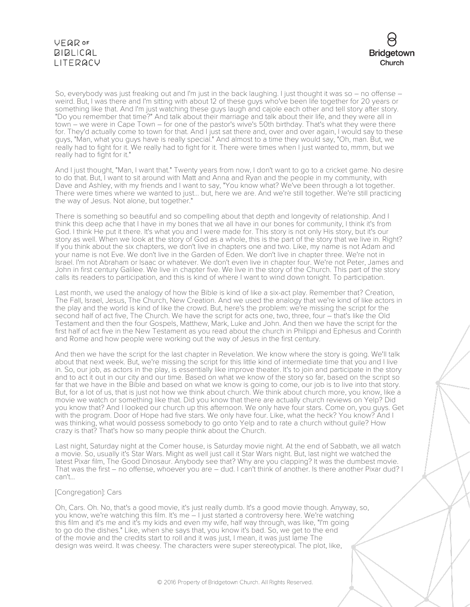

So, everybody was just freaking out and I'm just in the back laughing. I just thought it was so – no offense – weird. But, I was there and I'm sitting with about 12 of these guys who've been life together for 20 years or something like that. And I'm just watching these guys laugh and cajole each other and tell story after story. "Do you remember that time?" And talk about their marriage and talk about their life, and they were all in town – we were in Cape Town – for one of the pastor's wive's 50th birthday. That's what they were there for. They'd actually come to town for that. And I just sat there and, over and over again, I would say to these guys, "Man, what you guys have is really special." And almost to a time they would say, "Oh, man. But, we really had to fight for it. We really had to fight for it. There were times when I just wanted to, mmm, but we really had to fight for it."

And I just thought, "Man, I want that." Twenty years from now, I don't want to go to a cricket game. No desire to do that. But, I want to sit around with Matt and Anna and Ryan and the people in my community, with Dave and Ashley, with my friends and I want to say, "You know what? We've been through a lot together. There were times where we wanted to just... but, here we are. And we're still together. We're still practicing the way of Jesus. Not alone, but together."

There is something so beautiful and so compelling about that depth and longevity of relationship. And I think this deep ache that I have in my bones that we all have in our bones for community, I think it's from God. I think He put it there. It's what you and I were made for. This story is not only His story, but it's our story as well. When we look at the story of God as a whole, this is the part of the story that we live in. Right? If you think about the six chapters, we don't live in chapters one and two. Like, my name is not Adam and your name is not Eve. We don't live in the Garden of Eden. We don't live in chapter three. We're not in Israel. I'm not Abraham or Isaac or whatever. We don't even live in chapter four. We're not Peter, James and John in first century Galilee. We live in chapter five. We live in the story of the Church. This part of the story calls its readers to participation, and this is kind of where I want to wind down tonight. To participation.

Last month, we used the analogy of how the Bible is kind of like a six-act play. Remember that? Creation, The Fall, Israel, Jesus, The Church, New Creation. And we used the analogy that we're kind of like actors in the play and the world is kind of like the crowd. But, here's the problem: we're missing the script for the second half of act five, The Church. We have the script for acts one, two, three, four – that's like the Old Testament and then the four Gospels, Matthew, Mark, Luke and John. And then we have the script for the first half of act five in the New Testament as you read about the church in Philippi and Ephesus and Corinth and Rome and how people were working out the way of Jesus in the first century.

And then we have the script for the last chapter in Revelation. We know where the story is going. We'll talk about that next week. But, we're missing the script for this little kind of intermediate time that you and I live in. So, our job, as actors in the play, is essentially like improve theater. It's to join and participate in the story and to act it out in our city and our time. Based on what we know of the story so far, based on the script so far that we have in the Bible and based on what we know is going to come, our job is to live into that story. But, for a lot of us, that is just not how we think about church. We think about church more, you know, like a movie we watch or something like that. Did you know that there are actually church reviews on Yelp? Did you know that? And I looked our church up this afternoon. We only have four stars. Come on, you guys. Get with the program. Door of Hope had five stars. We only have four. Like, what the heck? You know? And I was thinking, what would possess somebody to go onto Yelp and to rate a church without guile? How crazy is that? That's how so many people think about the Church.

Last night, Saturday night at the Comer house, is Saturday movie night. At the end of Sabbath, we all watch a movie. So, usually it's Star Wars. Might as well just call it Star Wars night. But, last night we watched the latest Pixar film, The Good Dinosaur. Anybody see that? Why are you clapping? It was the dumbest movie. That was the first – no offense, whoever you are – dud. I can't think of another. Is there another Pixar dud? I can't...

## [Congregation]: Cars

Oh, Cars. Oh. No, that's a good movie, it's just really dumb. It's a good movie though. Anyway, so, you know, we're watching this film. It's me – I just started a controversy here. We're watching this film and it's me and it's my kids and even my wife, half way through, was like, "I'm going to go do the dishes." Like, when she says that, you know it's bad. So, we get to the end of the movie and the credits start to roll and it was just, I mean, it was just lame The design was weird. It was cheesy. The characters were super stereotypical. The plot, like,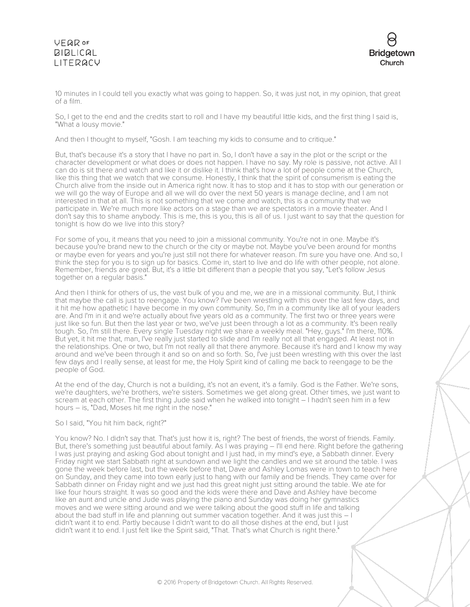

10 minutes in I could tell you exactly what was going to happen. So, it was just not, in my opinion, that great of a film.

So, I get to the end and the credits start to roll and I have my beautiful little kids, and the first thing I said is, "What a lousy movie."

And then I thought to myself, "Gosh. I am teaching my kids to consume and to critique."

But, that's because it's a story that I have no part in. So, I don't have a say in the plot or the script or the character development or what does or does not happen. I have no say. My role is passive, not active. All I can do is sit there and watch and like it or dislike it. I think that's how a lot of people come at the Church, like this thing that we watch that we consume. Honestly, I think that the spirit of consumerism is eating the Church alive from the inside out in America right now. It has to stop and it has to stop with our generation or we will go the way of Europe and all we will do over the next 50 years is manage decline, and I am not interested in that at all. This is not something that we come and watch, this is a community that we participate in. We're much more like actors on a stage than we are spectators in a movie theater. And I don't say this to shame anybody. This is me, this is you, this is all of us. I just want to say that the question for tonight is how do we live into this story?

For some of you, it means that you need to join a missional community. You're not in one. Maybe it's because you're brand new to the church or the city or maybe not. Maybe you've been around for months or maybe even for years and you're just still not there for whatever reason. I'm sure you have one. And so, I think the step for you is to sign up for basics. Come in, start to live and do life with other people, not alone. Remember, friends are great. But, it's a little bit different than a people that you say, "Let's follow Jesus together on a regular basis."

And then I think for others of us, the vast bulk of you and me, we are in a missional community. But, I think that maybe the call is just to reengage. You know? I've been wrestling with this over the last few days, and it hit me how apathetic I have become in my own community. So, I'm in a community like all of your leaders are. And I'm in it and we're actually about five years old as a community. The first two or three years were just like so fun. But then the last year or two, we've just been through a lot as a community. It's been really tough. So, I'm still there. Every single Tuesday night we share a weekly meal. "Hey, guys." I'm there, 110%. But yet, it hit me that, man, I've really just started to slide and I'm really not all that engaged. At least not in the relationships. One or two, but I'm not really all that there anymore. Because it's hard and I know my way around and we've been through it and so on and so forth. So, I've just been wrestling with this over the last few days and I really sense, at least for me, the Holy Spirit kind of calling me back to reengage to be the people of God.

At the end of the day, Church is not a building, it's not an event, it's a family. God is the Father. We're sons, we're daughters, we're brothers, we're sisters. Sometimes we get along great. Other times, we just want to scream at each other. The first thing Jude said when he walked into tonight – I hadn't seen him in a few hours – is, "Dad, Moses hit me right in the nose."

#### So I said, "You hit him back, right?"

You know? No. I didn't say that. That's just how it is, right? The best of friends, the worst of friends. Family. But, there's something just beautiful about family. As I was praying – I'll end here. Right before the gathering I was just praying and asking God about tonight and I just had, in my mind's eye, a Sabbath dinner. Every Friday night we start Sabbath right at sundown and we light the candles and we sit around the table. I was gone the week before last, but the week before that, Dave and Ashley Lomas were in town to teach here on Sunday, and they came into town early just to hang with our family and be friends. They came over for Sabbath dinner on Friday night and we just had this great night just sitting around the table. We ate for like four hours straight. It was so good and the kids were there and Dave and Ashley have become like an aunt and uncle and Jude was playing the piano and Sunday was doing her gymnastics moves and we were sitting around and we were talking about the good stuff in life and talking about the bad stuff in life and planning out summer vacation together. And it was just this – I didn't want it to end. Partly because I didn't want to do all those dishes at the end, but I just didn't want it to end. I just felt like the Spirit said, "That. That's what Church is right there."